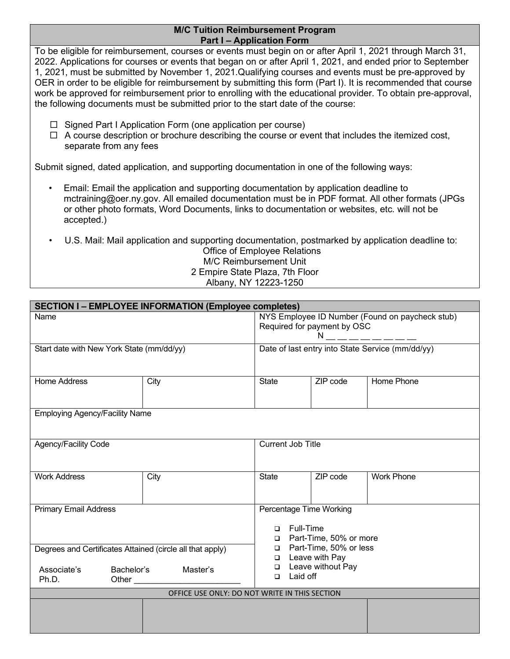## **M/C Tuition Reimbursement Program Part I – Application Form**

To be eligible for reimbursement, courses or events must begin on or after April 1, 2021 through March 31, 2022. Applications for courses or events that began on or after April 1, 2021, and ended prior to September 1, 2021, must be submitted by November 1, 2021.Qualifying courses and events must be pre-approved by OER in order to be eligible for reimbursement by submitting this form (Part I). It is recommended that course work be approved for reimbursement prior to enrolling with the educational provider. To obtain pre-approval, the following documents must be submitted prior to the start date of the course:

- $\Box$  Signed Part I Application Form (one application per course)
- $\Box$  A course description or brochure describing the course or event that includes the itemized cost, separate from any fees

Submit signed, dated application, and supporting documentation in one of the following ways:

- Email: Email the application and supporting documentation by application deadline to mctraining@oer.ny.gov. All emailed documentation must be in PDF format. All other formats (JPGs or other photo formats, Word Documents, links to documentation or websites, etc. will not be accepted.)
- U.S. Mail: Mail application and supporting documentation, postmarked by application deadline to: Office of Employee Relations M/C Reimbursement Unit 2 Empire State Plaza, 7th Floor

## Albany, NY 12223-1250

| <b>SECTION I-EMPLOYEE INFORMATION (Employee completes)</b>                                                  |      |                                                                                                                                                                                                                                                |  |          |                   |  |  |  |  |
|-------------------------------------------------------------------------------------------------------------|------|------------------------------------------------------------------------------------------------------------------------------------------------------------------------------------------------------------------------------------------------|--|----------|-------------------|--|--|--|--|
| Name                                                                                                        |      | NYS Employee ID Number (Found on paycheck stub)<br>Required for payment by OSC<br>$N =      -$                                                                                                                                                 |  |          |                   |  |  |  |  |
| Start date with New York State (mm/dd/yy)                                                                   |      | Date of last entry into State Service (mm/dd/yy)                                                                                                                                                                                               |  |          |                   |  |  |  |  |
| Home Address                                                                                                | City | <b>State</b>                                                                                                                                                                                                                                   |  | ZIP code | Home Phone        |  |  |  |  |
| <b>Employing Agency/Facility Name</b>                                                                       |      |                                                                                                                                                                                                                                                |  |          |                   |  |  |  |  |
| Agency/Facility Code                                                                                        |      | Current Job Title                                                                                                                                                                                                                              |  |          |                   |  |  |  |  |
| <b>Work Address</b>                                                                                         | City | <b>State</b>                                                                                                                                                                                                                                   |  | ZIP code | <b>Work Phone</b> |  |  |  |  |
| <b>Primary Email Address</b>                                                                                |      | Percentage Time Working<br><b>Full-Time</b><br>$\Box$<br>□ Part-Time, 50% or more<br>□ Part-Time, 50% or less<br><b>D</b> Leave with Pay<br>Leave without Pay<br>$\Box$<br>Laid off<br>$\Box$<br>OFFICE USE ONLY: DO NOT WRITE IN THIS SECTION |  |          |                   |  |  |  |  |
| Degrees and Certificates Attained (circle all that apply)<br>Associate's<br>Bachelor's<br>Master's<br>Ph.D. |      |                                                                                                                                                                                                                                                |  |          |                   |  |  |  |  |
|                                                                                                             |      |                                                                                                                                                                                                                                                |  |          |                   |  |  |  |  |
|                                                                                                             |      |                                                                                                                                                                                                                                                |  |          |                   |  |  |  |  |